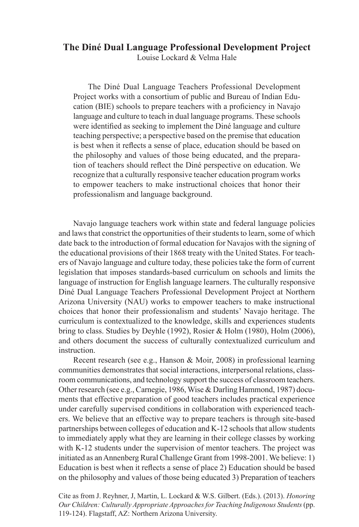# **The Diné Dual Language Professional Development Project** Louise Lockard & Velma Hale

The Diné Dual Language Teachers Professional Development Project works with a consortium of public and Bureau of Indian Education (BIE) schools to prepare teachers with a proficiency in Navajo language and culture to teach in dual language programs. These schools were identified as seeking to implement the Diné language and culture teaching perspective; a perspective based on the premise that education is best when it reflects a sense of place, education should be based on the philosophy and values of those being educated, and the preparation of teachers should reflect the Diné perspective on education. We recognize that a culturally responsive teacher education program works to empower teachers to make instructional choices that honor their professionalism and language background.

Navajo language teachers work within state and federal language policies and laws that constrict the opportunities of their students to learn, some of which date back to the introduction of formal education for Navajos with the signing of the educational provisions of their 1868 treaty with the United States. For teachers of Navajo language and culture today, these policies take the form of current legislation that imposes standards-based curriculum on schools and limits the language of instruction for English language learners. The culturally responsive Diné Dual Language Teachers Professional Development Project at Northern Arizona University (NAU) works to empower teachers to make instructional choices that honor their professionalism and students' Navajo heritage. The curriculum is contextualized to the knowledge, skills and experiences students bring to class. Studies by Deyhle (1992), Rosier & Holm (1980), Holm (2006), and others document the success of culturally contextualized curriculum and instruction.

Recent research (see e.g., Hanson & Moir, 2008) in professional learning communities demonstrates that social interactions, interpersonal relations, classroom communications, and technology support the success of classroom teachers. Other research (see e.g., Carnegie, 1986, Wise & Darling Hammond, 1987) documents that effective preparation of good teachers includes practical experience under carefully supervised conditions in collaboration with experienced teachers. We believe that an effective way to prepare teachers is through site-based partnerships between colleges of education and K-12 schools that allow students to immediately apply what they are learning in their college classes by working with K-12 students under the supervision of mentor teachers. The project was initiated as an Annenberg Rural Challenge Grant from 1998-2001. We believe: 1) Education is best when it reflects a sense of place 2) Education should be based on the philosophy and values of those being educated 3) Preparation of teachers

Cite as from J. Reyhner, J, Martin, L. Lockard & W.S. Gilbert. (Eds.). (2013). *Honoring Our Children: Culturally Appropriate Approaches for Teaching Indigenous Students* (pp. 119-124). Flagstaff, AZ: Northern Arizona University.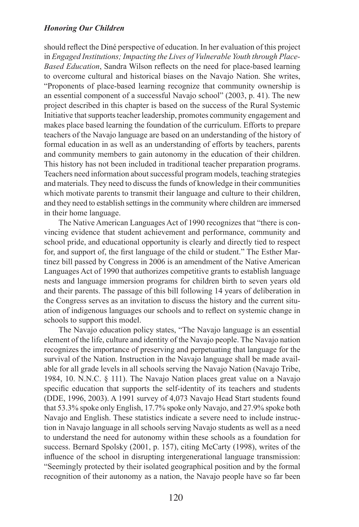# *Honoring Our Children*

should reflect the Diné perspective of education. In her evaluation of this project in *Engaged Institutions; Impacting the Lives of Vulnerable Youth through Place-Based Education*, Sandra Wilson reflects on the need for place-based learning to overcome cultural and historical biases on the Navajo Nation. She writes, "Proponents of place-based learning recognize that community ownership is an essential component of a successful Navajo school" (2003, p. 41). The new project described in this chapter is based on the success of the Rural Systemic Initiative that supports teacher leadership, promotes community engagement and makes place based learning the foundation of the curriculum. Efforts to prepare teachers of the Navajo language are based on an understanding of the history of formal education in as well as an understanding of efforts by teachers, parents and community members to gain autonomy in the education of their children. This history has not been included in traditional teacher preparation programs. Teachers need information about successful program models, teaching strategies and materials. They need to discuss the funds of knowledge in their communities which motivate parents to transmit their language and culture to their children, and they need to establish settings in the community where children are immersed in their home language.

The Native American Languages Act of 1990 recognizes that "there is convincing evidence that student achievement and performance, community and school pride, and educational opportunity is clearly and directly tied to respect for, and support of, the first language of the child or student." The Esther Martinez bill passed by Congress in 2006 is an amendment of the Native American Languages Act of 1990 that authorizes competitive grants to establish language nests and language immersion programs for children birth to seven years old and their parents. The passage of this bill following 14 years of deliberation in the Congress serves as an invitation to discuss the history and the current situation of indigenous languages our schools and to reflect on systemic change in schools to support this model.

The Navajo education policy states, "The Navajo language is an essential element of the life, culture and identity of the Navajo people. The Navajo nation recognizes the importance of preserving and perpetuating that language for the survival of the Nation. Instruction in the Navajo language shall be made available for all grade levels in all schools serving the Navajo Nation (Navajo Tribe, 1984, 10. N.N.C. § 111). The Navajo Nation places great value on a Navajo specific education that supports the self-identity of its teachers and students (DDE, 1996, 2003). A 1991 survey of 4,073 Navajo Head Start students found that 53.3% spoke only English, 17.7% spoke only Navajo, and 27.9% spoke both Navajo and English. These statistics indicate a severe need to include instruction in Navajo language in all schools serving Navajo students as well as a need to understand the need for autonomy within these schools as a foundation for success. Bernard Spolsky (2001, p. 157), citing McCarty (1998), writes of the influence of the school in disrupting intergenerational language transmission: "Seemingly protected by their isolated geographical position and by the formal recognition of their autonomy as a nation, the Navajo people have so far been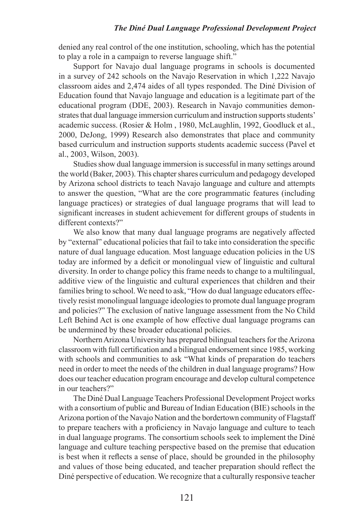denied any real control of the one institution, schooling, which has the potential to play a role in a campaign to reverse language shift."

Support for Navajo dual language programs in schools is documented in a survey of 242 schools on the Navajo Reservation in which 1,222 Navajo classroom aides and 2,474 aides of all types responded. The Diné Division of Education found that Navajo language and education is a legitimate part of the educational program (DDE, 2003). Research in Navajo communities demonstrates that dual language immersion curriculum and instruction supports students' academic success. (Rosier & Holm , 1980, McLaughlin, 1992, Goodluck et al., 2000, DeJong, 1999) Research also demonstrates that place and community based curriculum and instruction supports students academic success (Pavel et al., 2003, Wilson, 2003).

Studies show dual language immersion is successful in many settings around the world (Baker, 2003). This chapter shares curriculum and pedagogy developed by Arizona school districts to teach Navajo language and culture and attempts to answer the question, "What are the core programmatic features (including language practices) or strategies of dual language programs that will lead to significant increases in student achievement for different groups of students in different contexts?"

We also know that many dual language programs are negatively affected by "external" educational policies that fail to take into consideration the specific nature of dual language education. Most language education policies in the US today are informed by a deficit or monolingual view of linguistic and cultural diversity. In order to change policy this frame needs to change to a multilingual, additive view of the linguistic and cultural experiences that children and their families bring to school. We need to ask, "How do dual language educators effectively resist monolingual language ideologies to promote dual language program and policies?" The exclusion of native language assessment from the No Child Left Behind Act is one example of how effective dual language programs can be undermined by these broader educational policies.

Northern Arizona University has prepared bilingual teachers for the Arizona classroom with full certification and a bilingual endorsement since 1985, working with schools and communities to ask "What kinds of preparation do teachers need in order to meet the needs of the children in dual language programs? How does our teacher education program encourage and develop cultural competence in our teachers?"

The Diné Dual Language Teachers Professional Development Project works with a consortium of public and Bureau of Indian Education (BIE) schools in the Arizona portion of the Navajo Nation and the bordertown community of Flagstaff to prepare teachers with a proficiency in Navajo language and culture to teach in dual language programs. The consortium schools seek to implement the Diné language and culture teaching perspective based on the premise that education is best when it reflects a sense of place, should be grounded in the philosophy and values of those being educated, and teacher preparation should reflect the Diné perspective of education. We recognize that a culturally responsive teacher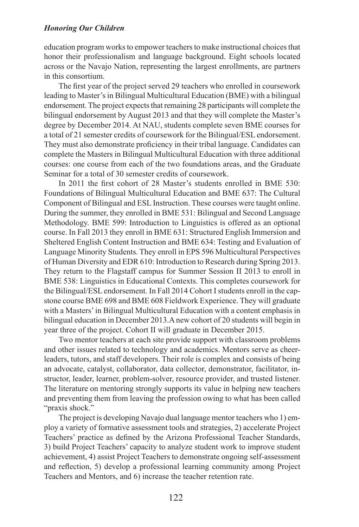#### *Honoring Our Children*

education program works to empower teachers to make instructional choices that honor their professionalism and language background. Eight schools located across or the Navajo Nation, representing the largest enrollments, are partners in this consortium.

The first year of the project served 29 teachers who enrolled in coursework leading to Master's in Bilingual Multicultural Education (BME) with a bilingual endorsement. The project expects that remaining 28 participants will complete the bilingual endorsement by August 2013 and that they will complete the Master's degree by December 2014. At NAU, students complete seven BME courses for a total of 21 semester credits of coursework for the Bilingual/ESL endorsement. They must also demonstrate proficiency in their tribal language. Candidates can complete the Masters in Bilingual Multicultural Education with three additional courses: one course from each of the two foundations areas, and the Graduate Seminar for a total of 30 semester credits of coursework.

In 2011 the first cohort of 28 Master's students enrolled in BME 530: Foundations of Bilingual Multicultural Education and BME 637: The Cultural Component of Bilingual and ESL Instruction. These courses were taught online. During the summer, they enrolled in BME 531: Bilingual and Second Language Methodology. BME 599: Introduction to Linguistics is offered as an optional course. In Fall 2013 they enroll in BME 631: Structured English Immersion and Sheltered English Content Instruction and BME 634: Testing and Evaluation of Language Minority Students. They enroll in EPS 596 Multicultural Perspectives of Human Diversity and EDR 610: Introduction to Research during Spring 2013. They return to the Flagstaff campus for Summer Session II 2013 to enroll in BME 538: Linguistics in Educational Contexts. This completes coursework for the Bilingual/ESL endorsement. In Fall 2014 Cohort I students enroll in the capstone course BME 698 and BME 608 Fieldwork Experience. They will graduate with a Masters' in Bilingual Multicultural Education with a content emphasis in bilingual education in December 2013.A new cohort of 20 students will begin in year three of the project. Cohort II will graduate in December 2015.

Two mentor teachers at each site provide support with classroom problems and other issues related to technology and academics. Mentors serve as cheerleaders, tutors, and staff developers. Their role is complex and consists of being an advocate, catalyst, collaborator, data collector, demonstrator, facilitator, instructor, leader, learner, problem-solver, resource provider, and trusted listener. The literature on mentoring strongly supports its value in helping new teachers and preventing them from leaving the profession owing to what has been called "praxis shock."

The project is developing Navajo dual language mentor teachers who 1) employ a variety of formative assessment tools and strategies, 2) accelerate Project Teachers' practice as defined by the Arizona Professional Teacher Standards, 3) build Project Teachers' capacity to analyze student work to improve student achievement, 4) assist Project Teachers to demonstrate ongoing self-assessment and reflection, 5) develop a professional learning community among Project Teachers and Mentors, and 6) increase the teacher retention rate.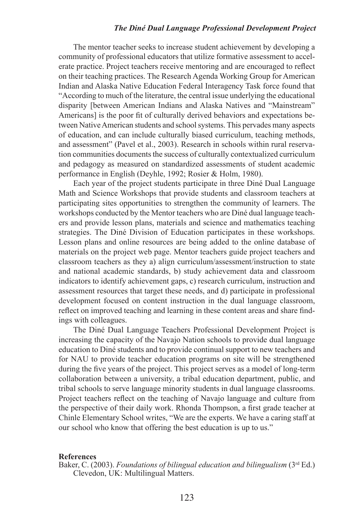# *The Diné Dual Language Professional Development Project*

The mentor teacher seeks to increase student achievement by developing a community of professional educators that utilize formative assessment to accelerate practice. Project teachers receive mentoring and are encouraged to reflect on their teaching practices. The Research Agenda Working Group for American Indian and Alaska Native Education Federal Interagency Task force found that "According to much of the literature, the central issue underlying the educational disparity [between American Indians and Alaska Natives and "Mainstream" Americans] is the poor fit of culturally derived behaviors and expectations between Native American students and school systems. This pervades many aspects of education, and can include culturally biased curriculum, teaching methods, and assessment" (Pavel et al., 2003). Research in schools within rural reservation communities documents the success of culturally contextualized curriculum and pedagogy as measured on standardized assessments of student academic performance in English (Deyhle, 1992; Rosier & Holm, 1980).

Each year of the project students participate in three Diné Dual Language Math and Science Workshops that provide students and classroom teachers at participating sites opportunities to strengthen the community of learners. The workshops conducted by the Mentor teachers who are Diné dual language teachers and provide lesson plans, materials and science and mathematics teaching strategies. The Diné Division of Education participates in these workshops. Lesson plans and online resources are being added to the online database of materials on the project web page. Mentor teachers guide project teachers and classroom teachers as they a) align curriculum/assessment/instruction to state and national academic standards, b) study achievement data and classroom indicators to identify achievement gaps, c) research curriculum, instruction and assessment resources that target these needs, and d) participate in professional development focused on content instruction in the dual language classroom, reflect on improved teaching and learning in these content areas and share findings with colleagues.

The Diné Dual Language Teachers Professional Development Project is increasing the capacity of the Navajo Nation schools to provide dual language education to Diné students and to provide continual support to new teachers and for NAU to provide teacher education programs on site will be strengthened during the five years of the project. This project serves as a model of long-term collaboration between a university, a tribal education department, public, and tribal schools to serve language minority students in dual language classrooms. Project teachers reflect on the teaching of Navajo language and culture from the perspective of their daily work. Rhonda Thompson, a first grade teacher at Chinle Elementary School writes, "We are the experts. We have a caring staff at our school who know that offering the best education is up to us."

#### **References**

Baker, C. (2003). *Foundations of bilingual education and bilingualism* (3<sup>rd</sup> Ed.) Clevedon, UK: Multilingual Matters.